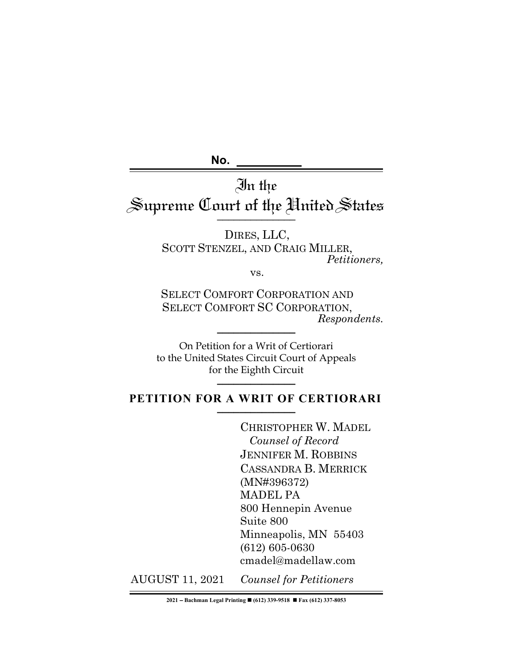**No.** 

# In the Supreme Court of the Hnited States

DIRES, LLC, SCOTT STENZEL, AND CRAIG MILLER, *Petitioners,*

vs.

SELECT COMFORT CORPORATION AND SELECT COMFORT SC CORPORATION,  $Response$ *Respondents.* 

On Petition for a Writ of Certiorari to the United States Circuit Court of Appeals for the Eighth Circuit **\_\_\_\_\_\_\_\_\_\_\_\_\_\_**

# PETITION FOR A WRIT OF CERTIORARI

CHRISTOPHER W. MADEL  *Counsel of Record* JENNIFER M. ROBBINS CASSANDRA B. MERRICK (MN#396372) MADEL PA 800 Hennepin Avenue Suite 800 Minneapolis, MN 55403 (612) 605-0630 cmadel@madellaw.com

AUGUST 11, 2021 *Counsel for Petitioners*

**2021** - **Bachman Legal Printing** n **(612) 339-9518** n **Fax (612) 337-8053**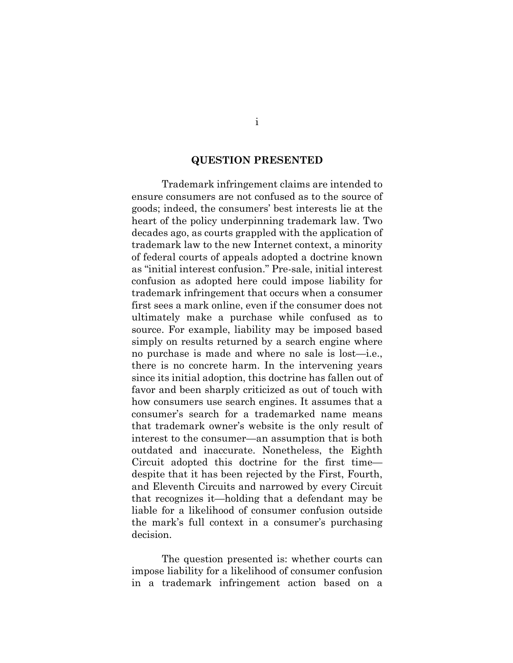#### **QUESTION PRESENTED**

Trademark infringement claims are intended to ensure consumers are not confused as to the source of goods; indeed, the consumers' best interests lie at the heart of the policy underpinning trademark law. Two decades ago, as courts grappled with the application of trademark law to the new Internet context, a minority of federal courts of appeals adopted a doctrine known as "initial interest confusion." Pre-sale, initial interest confusion as adopted here could impose liability for trademark infringement that occurs when a consumer first sees a mark online, even if the consumer does not ultimately make a purchase while confused as to source. For example, liability may be imposed based simply on results returned by a search engine where no purchase is made and where no sale is lost—i.e., there is no concrete harm. In the intervening years since its initial adoption, this doctrine has fallen out of favor and been sharply criticized as out of touch with how consumers use search engines. It assumes that a consumer's search for a trademarked name means that trademark owner's website is the only result of interest to the consumer—an assumption that is both outdated and inaccurate. Nonetheless, the Eighth Circuit adopted this doctrine for the first time despite that it has been rejected by the First, Fourth, and Eleventh Circuits and narrowed by every Circuit that recognizes it—holding that a defendant may be liable for a likelihood of consumer confusion outside the mark's full context in a consumer's purchasing decision.

The question presented is: whether courts can impose liability for a likelihood of consumer confusion in a trademark infringement action based on a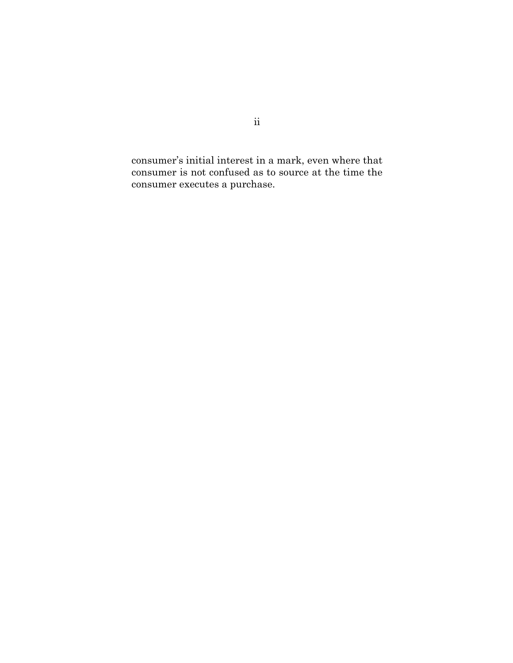consumer's initial interest in a mark, even where that consumer is not confused as to source at the time the consumer executes a purchase.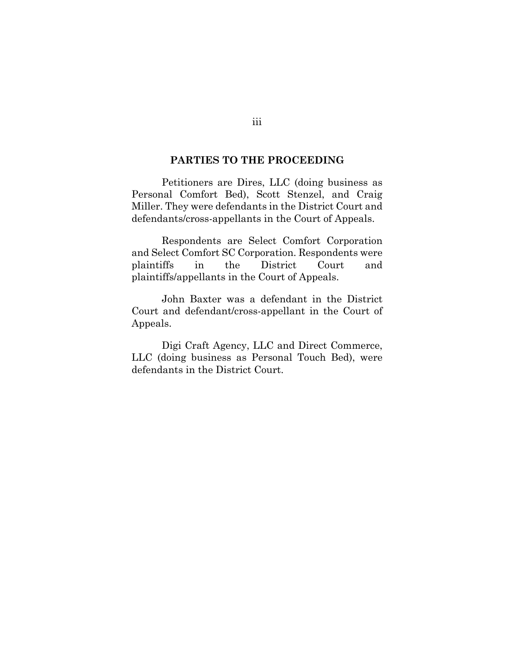#### **PARTIES TO THE PROCEEDING**

Petitioners are Dires, LLC (doing business as Personal Comfort Bed), Scott Stenzel, and Craig Miller. They were defendants in the District Court and defendants/cross-appellants in the Court of Appeals.

Respondents are Select Comfort Corporation and Select Comfort SC Corporation. Respondents were plaintiffs in the District Court and plaintiffs/appellants in the Court of Appeals.

John Baxter was a defendant in the District Court and defendant/cross-appellant in the Court of Appeals.

Digi Craft Agency, LLC and Direct Commerce, LLC (doing business as Personal Touch Bed), were defendants in the District Court.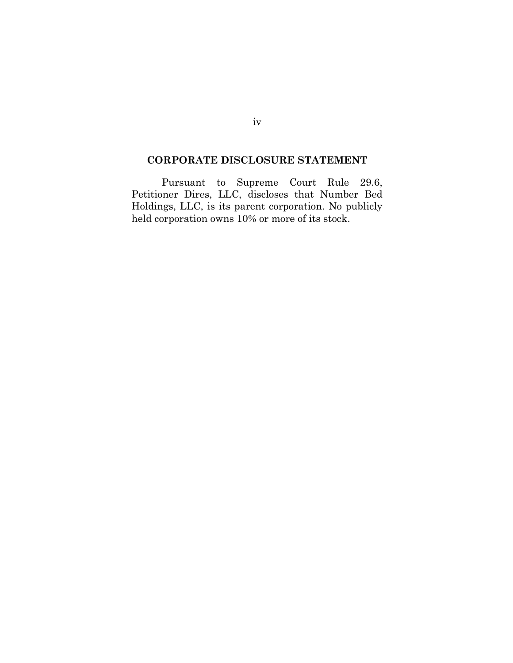## **CORPORATE DISCLOSURE STATEMENT**

Pursuant to Supreme Court Rule 29.6, Petitioner Dires, LLC, discloses that Number Bed Holdings, LLC, is its parent corporation. No publicly held corporation owns 10% or more of its stock.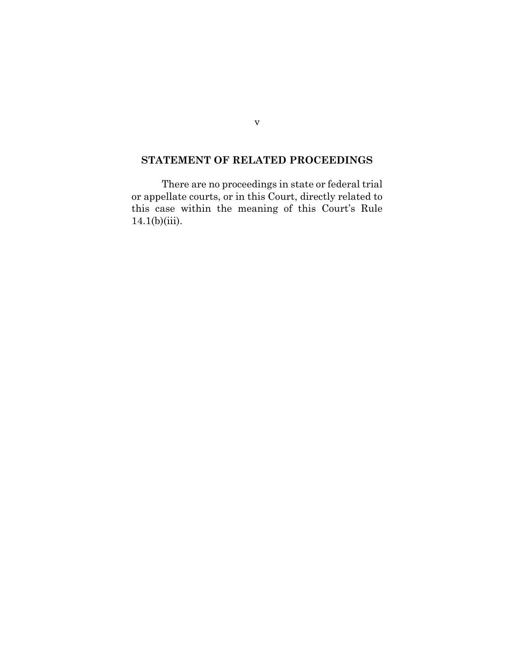## **STATEMENT OF RELATED PROCEEDINGS**

There are no proceedings in state or federal trial or appellate courts, or in this Court, directly related to this case within the meaning of this Court's Rule  $14.1(b)(iii)$ .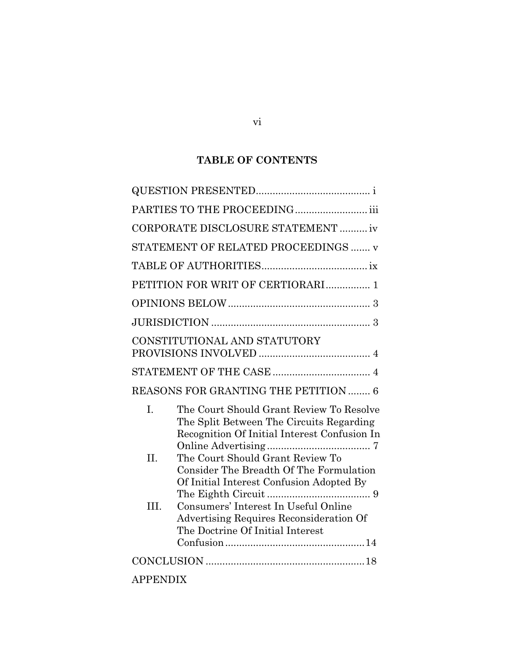# **TABLE OF CONTENTS**

| PARTIES TO THE PROCEEDING iii        |                                                                                                                                      |  |  |  |
|--------------------------------------|--------------------------------------------------------------------------------------------------------------------------------------|--|--|--|
| CORPORATE DISCLOSURE STATEMENT  iv   |                                                                                                                                      |  |  |  |
| STATEMENT OF RELATED PROCEEDINGS  v  |                                                                                                                                      |  |  |  |
|                                      |                                                                                                                                      |  |  |  |
| PETITION FOR WRIT OF CERTIORARI 1    |                                                                                                                                      |  |  |  |
|                                      |                                                                                                                                      |  |  |  |
|                                      |                                                                                                                                      |  |  |  |
| CONSTITUTIONAL AND STATUTORY         |                                                                                                                                      |  |  |  |
|                                      |                                                                                                                                      |  |  |  |
| REASONS FOR GRANTING THE PETITION  6 |                                                                                                                                      |  |  |  |
| $\mathbf{L}$                         | The Court Should Grant Review To Resolve<br>The Split Between The Circuits Regarding<br>Recognition Of Initial Interest Confusion In |  |  |  |
| $\Pi$ .                              | The Court Should Grant Review To                                                                                                     |  |  |  |
|                                      | Consider The Breadth Of The Formulation<br>Of Initial Interest Confusion Adopted By                                                  |  |  |  |
| III.                                 | Consumers' Interest In Useful Online<br>Advertising Requires Reconsideration Of<br>The Doctrine Of Initial Interest                  |  |  |  |
|                                      |                                                                                                                                      |  |  |  |
| <b>APPENDIX</b>                      |                                                                                                                                      |  |  |  |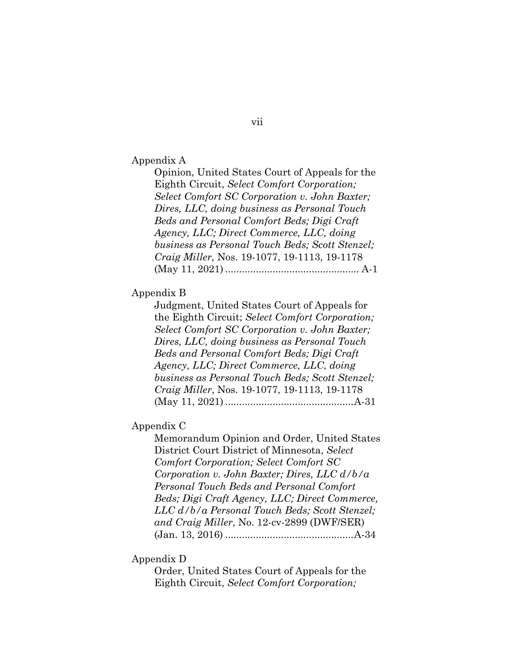Appendix A

Opinion, United States Court of Appeals for the Eighth Circuit, *Select Comfort Corporation; Select Comfort SC Corporation v. John Baxter; Dires, LLC, doing business as Personal Touch Beds and Personal Comfort Beds; Digi Craft Agency, LLC; Direct Commerce, LLC, doing business as Personal Touch Beds; Scott Stenzel; Craig Miller,* Nos. 19-1077, 19-1113, 19-1178 (May 11, 2021) ................................................ A-1

#### Appendix B

Judgment, United States Court of Appeals for the Eighth Circuit; *Select Comfort Corporation; Select Comfort SC Corporation v. John Baxter; Dires, LLC, doing business as Personal Touch Beds and Personal Comfort Beds; Digi Craft Agency, LLC; Direct Commerce, LLC, doing business as Personal Touch Beds; Scott Stenzel; Craig Miller*, Nos. 19-1077, 19-1113, 19-1178 (May 11, 2021) ..............................................A-31

#### Appendix C

Memorandum Opinion and Order, United States District Court District of Minnesota, *Select Comfort Corporation; Select Comfort SC Corporation v. John Baxter; Dires, LLC d/b/a Personal Touch Beds and Personal Comfort Beds; Digi Craft Agency, LLC; Direct Commerce, LLC d/b/a Personal Touch Beds; Scott Stenzel; and Craig Miller*, No. 12-cv-2899 (DWF/SER) (Jan. 13, 2016) ..............................................A-34

#### Appendix D

Order, United States Court of Appeals for the Eighth Circuit, *Select Comfort Corporation;*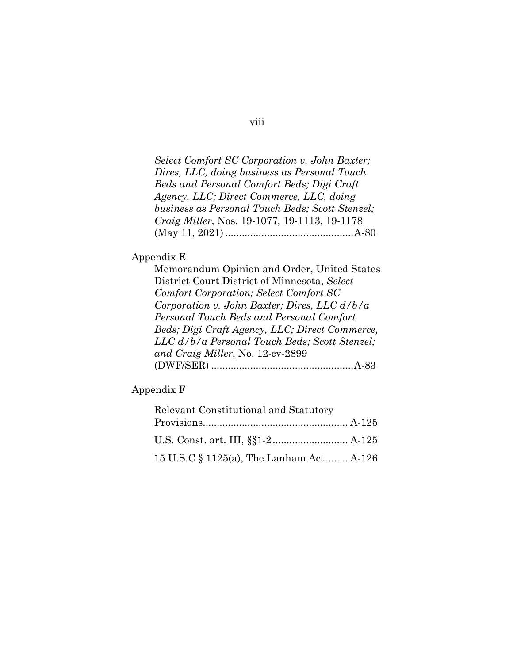*Select Comfort SC Corporation v. John Baxter; Dires, LLC, doing business as Personal Touch Beds and Personal Comfort Beds; Digi Craft Agency, LLC; Direct Commerce, LLC, doing business as Personal Touch Beds; Scott Stenzel; Craig Miller,* Nos. 19-1077, 19-1113, 19-1178 (May 11, 2021) ..............................................A-80

#### Appendix E

Memorandum Opinion and Order, United States District Court District of Minnesota, *Select Comfort Corporation; Select Comfort SC Corporation v. John Baxter; Dires, LLC d/b/a Personal Touch Beds and Personal Comfort Beds; Digi Craft Agency, LLC; Direct Commerce, LLC d/b/a Personal Touch Beds; Scott Stenzel; and Craig Miller*, No. 12-cv-2899 (DWF/SER) ...................................................A-83

Appendix F

| Relevant Constitutional and Statutory    |  |
|------------------------------------------|--|
|                                          |  |
|                                          |  |
| 15 U.S.C § 1125(a), The Lanham Act A-126 |  |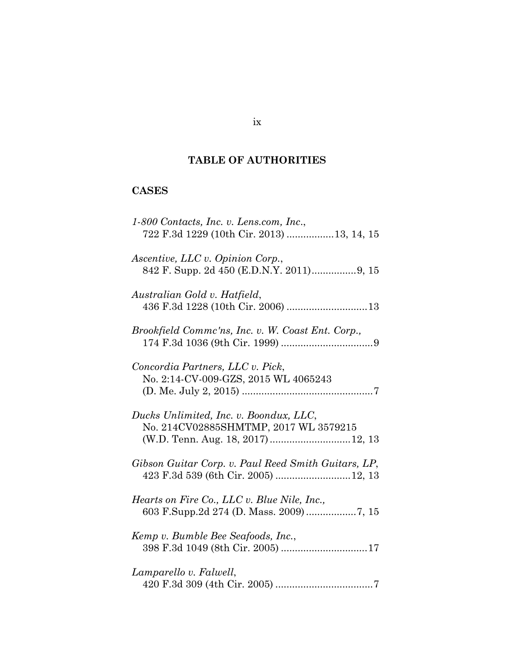# **TABLE OF AUTHORITIES**

# **CASES**

| 1-800 Contacts, Inc. v. Lens.com, Inc.,<br>722 F.3d 1229 (10th Cir. 2013) 13, 14, 15                                 |
|----------------------------------------------------------------------------------------------------------------------|
| Ascentive, LLC v. Opinion Corp.,                                                                                     |
| Australian Gold v. Hatfield,                                                                                         |
| Brookfield Commc'ns, Inc. v. W. Coast Ent. Corp.,                                                                    |
| Concordia Partners, LLC v. Pick,<br>No. 2:14-CV-009-GZS, 2015 WL 4065243                                             |
| Ducks Unlimited, Inc. v. Boondux, LLC,<br>No. 214CV02885SHMTMP, 2017 WL 3579215<br>(W.D. Tenn. Aug. 18, 2017) 12, 13 |
| Gibson Guitar Corp. v. Paul Reed Smith Guitars, LP,<br>423 F.3d 539 (6th Cir. 2005)  12, 13                          |
| Hearts on Fire Co., LLC v. Blue Nile, Inc.,                                                                          |
| Kemp v. Bumble Bee Seafoods, Inc.,                                                                                   |
| Lamparello v. Falwell,                                                                                               |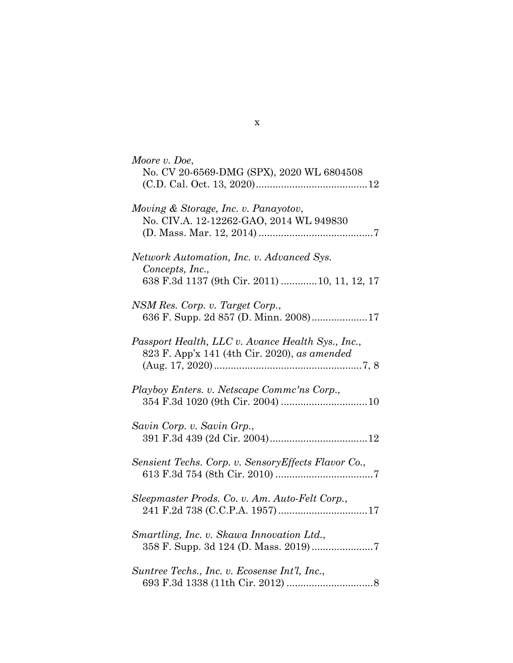| Moore v. Doe,<br>No. CV 20-6569-DMG (SPX), 2020 WL 6804508                                                    |
|---------------------------------------------------------------------------------------------------------------|
| Moving & Storage, Inc. v. Panayotov,<br>No. CIV.A. 12-12262-GAO, 2014 WL 949830                               |
| Network Automation, Inc. v. Advanced Sys.<br>Concepts, Inc.,<br>638 F.3d 1137 (9th Cir. 2011)  10, 11, 12, 17 |
| NSM Res. Corp. v. Target Corp.,<br>636 F. Supp. 2d 857 (D. Minn. 2008)17                                      |
| Passport Health, LLC v. Avance Health Sys., Inc.,<br>823 F. App'x 141 (4th Cir. 2020), as amended             |
| Playboy Enters. v. Netscape Commc'ns Corp.,                                                                   |
| Savin Corp. v. Savin Grp.,                                                                                    |
| Sensient Techs. Corp. v. Sensory Effects Flavor Co.,                                                          |
| Sleepmaster Prods. Co. v. Am. Auto-Felt Corp.,                                                                |
| Smartling, Inc. v. Skawa Innovation Ltd.,                                                                     |
| Suntree Techs., Inc. v. Ecosense Int'l, Inc.,                                                                 |

x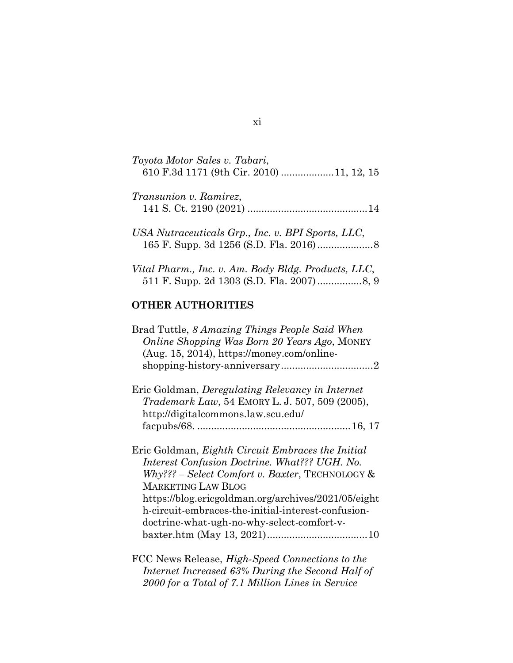| Toyota Motor Sales v. Tabari,<br>610 F.3d 1171 (9th Cir. 2010) 11, 12, 15 |
|---------------------------------------------------------------------------|
| <i>Transunion v. Ramirez,</i>                                             |
| USA Nutraceuticals Grp., Inc. v. BPI Sports, LLC,                         |

| Vital Pharm., Inc. v. Am. Body Bldg. Products, LLC, |  |
|-----------------------------------------------------|--|
|                                                     |  |

165 F. Supp. 3d 1256 (S.D. Fla. 2016)....................8

## **OTHER AUTHORITIES**

| Brad Tuttle, 8 Amazing Things People Said When<br>Online Shopping Was Born 20 Years Ago, MONEY |
|------------------------------------------------------------------------------------------------|
| (Aug. 15, 2014), https://money.com/online-                                                     |
|                                                                                                |
| Eric Goldman, Deregulating Relevancy in Internet                                               |
| <i>Trademark Law</i> , 54 EMORY L. J. 507, 509 (2005),                                         |
| http://digitalcommons.law.scu.edu/                                                             |
|                                                                                                |
| Eric Goldman, Eighth Circuit Embraces the Initial                                              |
| Interest Confusion Doctrine. What??? UGH. No.                                                  |
| $Why$ ??? – Select Comfort v. Baxter, TECHNOLOGY &                                             |
| <b>MARKETING LAW BLOG</b>                                                                      |
| https://blog.ericgoldman.org/archives/2021/05/eight                                            |
| h-circuit-embraces-the-initial-interest-confusion-                                             |
| doctrine-what-ugh-no-why-select-comfort-v-                                                     |
|                                                                                                |
| $ECA$ N <sub>orma</sub> Delegae, <i>High Cased Compations</i> to the                           |

FCC News Release, *High-Speed Connections to the Internet Increased 63% During the Second Half of 2000 for a Total of 7.1 Million Lines in Service*

#### xi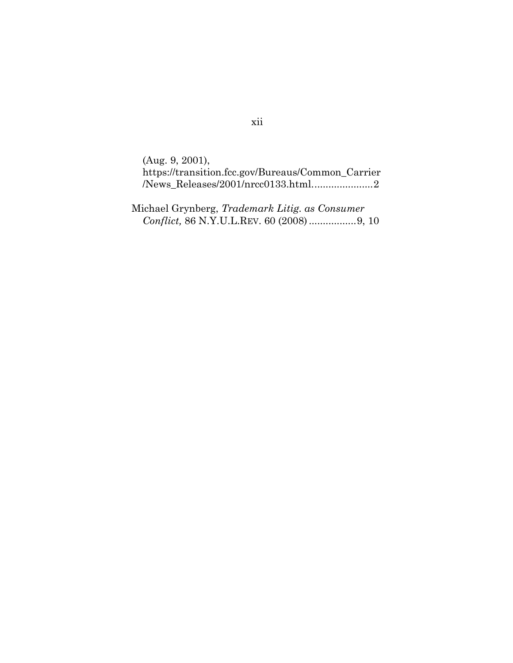(Aug. 9, 2001), https://transition.fcc.gov/Bureaus/Common\_Carrier  $\label{lem:1} \Delta N_{\rm ews\_Releases}/2001/nrcc0133.html..............2$ 

Michael Grynberg, *Trademark Litig. as Consumer Conflict,* 86 N.Y.U.L.REV. 60 (2008).................9, 10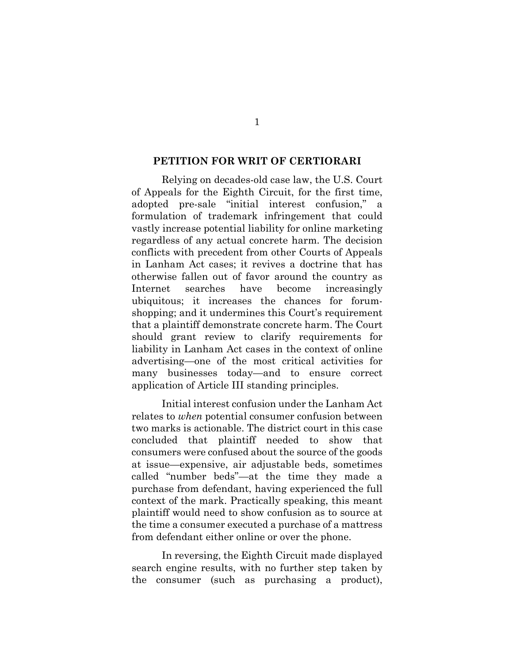#### **PETITION FOR WRIT OF CERTIORARI**

Relying on decades-old case law, the U.S. Court of Appeals for the Eighth Circuit, for the first time, adopted pre-sale "initial interest confusion," a formulation of trademark infringement that could vastly increase potential liability for online marketing regardless of any actual concrete harm. The decision conflicts with precedent from other Courts of Appeals in Lanham Act cases; it revives a doctrine that has otherwise fallen out of favor around the country as Internet searches have become increasingly ubiquitous; it increases the chances for forumshopping; and it undermines this Court's requirement that a plaintiff demonstrate concrete harm. The Court should grant review to clarify requirements for liability in Lanham Act cases in the context of online advertising—one of the most critical activities for many businesses today—and to ensure correct application of Article III standing principles.

Initial interest confusion under the Lanham Act relates to *when* potential consumer confusion between two marks is actionable. The district court in this case concluded that plaintiff needed to show that consumers were confused about the source of the goods at issue—expensive, air adjustable beds, sometimes called "number beds"—at the time they made a purchase from defendant, having experienced the full context of the mark. Practically speaking, this meant plaintiff would need to show confusion as to source at the time a consumer executed a purchase of a mattress from defendant either online or over the phone.

In reversing, the Eighth Circuit made displayed search engine results, with no further step taken by the consumer (such as purchasing a product),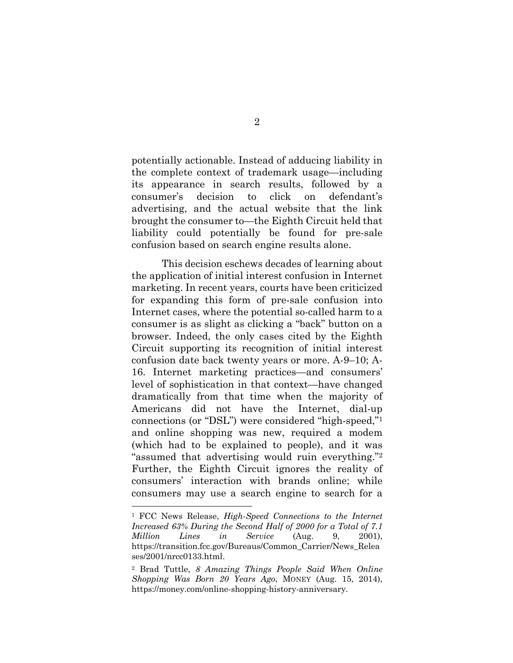potentially actionable. Instead of adducing liability in the complete context of trademark usage—including its appearance in search results, followed by a consumer's decision to click on defendant's advertising, and the actual website that the link brought the consumer to—the Eighth Circuit held that liability could potentially be found for pre-sale confusion based on search engine results alone.

This decision eschews decades of learning about the application of initial interest confusion in Internet marketing. In recent years, courts have been criticized for expanding this form of pre-sale confusion into Internet cases, where the potential so-called harm to a consumer is as slight as clicking a "back" button on a browser. Indeed, the only cases cited by the Eighth Circuit supporting its recognition of initial interest confusion date back twenty years or more. A-9–10; A-16. Internet marketing practices—and consumers' level of sophistication in that context—have changed dramatically from that time when the majority of Americans did not have the Internet, dial-up connections (or "DSL") were considered "high-speed,"<sup>1</sup> and online shopping was new, required a modem (which had to be explained to people), and it was "assumed that advertising would ruin everything."<sup>2</sup> Further, the Eighth Circuit ignores the reality of consumers' interaction with brands online; while consumers may use a search engine to search for a

<sup>1</sup> FCC News Release, *High-Speed Connections to the Internet Increased 63% During the Second Half of 2000 for a Total of 7.1 Million Lines in Service* (Aug. 9, 2001), https://transition.fcc.gov/Bureaus/Common\_Carrier/News\_Relea ses/2001/nrcc0133.html.

<sup>2</sup> Brad Tuttle, *8 Amazing Things People Said When Online Shopping Was Born 20 Years Ago*, MONEY (Aug. 15, 2014), https://money.com/online-shopping-history-anniversary.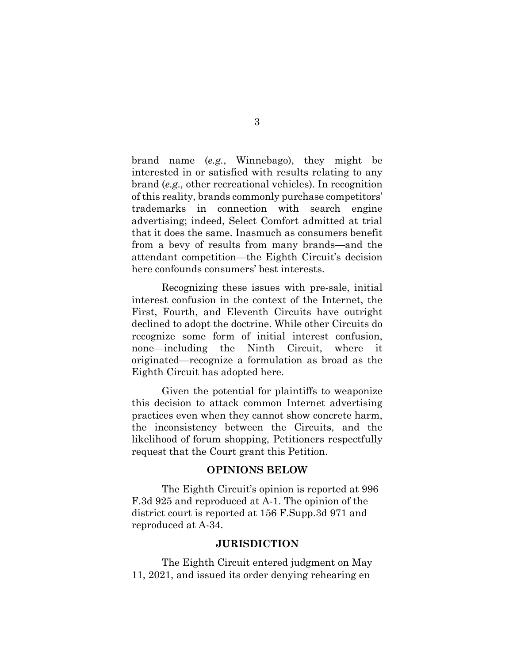brand name (*e.g.*, Winnebago), they might be interested in or satisfied with results relating to any brand (*e.g.,* other recreational vehicles). In recognition of this reality, brands commonly purchase competitors' trademarks in connection with search engine advertising; indeed, Select Comfort admitted at trial that it does the same. Inasmuch as consumers benefit from a bevy of results from many brands—and the attendant competition—the Eighth Circuit's decision here confounds consumers' best interests.

Recognizing these issues with pre-sale, initial interest confusion in the context of the Internet, the First, Fourth, and Eleventh Circuits have outright declined to adopt the doctrine. While other Circuits do recognize some form of initial interest confusion, none—including the Ninth Circuit, where it originated—recognize a formulation as broad as the Eighth Circuit has adopted here.

Given the potential for plaintiffs to weaponize this decision to attack common Internet advertising practices even when they cannot show concrete harm, the inconsistency between the Circuits, and the likelihood of forum shopping, Petitioners respectfully request that the Court grant this Petition.

#### **OPINIONS BELOW**

The Eighth Circuit's opinion is reported at 996 F.3d 925 and reproduced at A-1. The opinion of the district court is reported at 156 F.Supp.3d 971 and reproduced at A-34.

#### **JURISDICTION**

The Eighth Circuit entered judgment on May 11, 2021, and issued its order denying rehearing en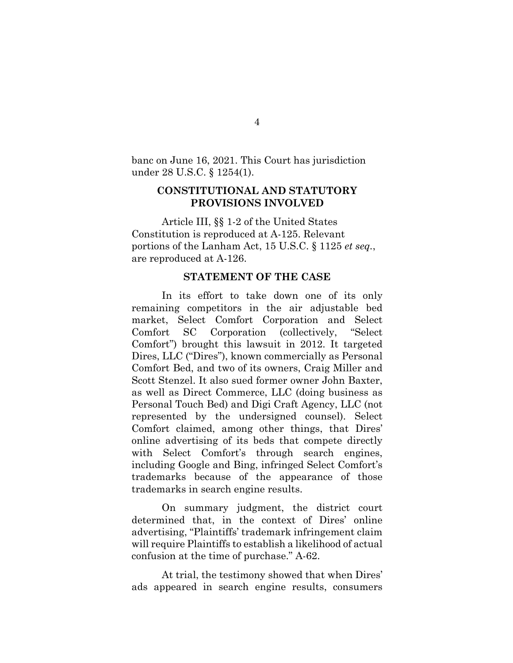banc on June 16, 2021. This Court has jurisdiction under 28 U.S.C. § 1254(1).

#### **CONSTITUTIONAL AND STATUTORY PROVISIONS INVOLVED**

Article III, §§ 1-2 of the United States Constitution is reproduced at A-125. Relevant portions of the Lanham Act, 15 U.S.C. § 1125 *et seq.*, are reproduced at A-126.

#### **STATEMENT OF THE CASE**

In its effort to take down one of its only remaining competitors in the air adjustable bed market, Select Comfort Corporation and Select Comfort SC Corporation (collectively, "Select Comfort") brought this lawsuit in 2012. It targeted Dires, LLC ("Dires"), known commercially as Personal Comfort Bed, and two of its owners, Craig Miller and Scott Stenzel. It also sued former owner John Baxter, as well as Direct Commerce, LLC (doing business as Personal Touch Bed) and Digi Craft Agency, LLC (not represented by the undersigned counsel). Select Comfort claimed, among other things, that Dires' online advertising of its beds that compete directly with Select Comfort's through search engines, including Google and Bing, infringed Select Comfort's trademarks because of the appearance of those trademarks in search engine results.

On summary judgment, the district court determined that, in the context of Dires' online advertising, "Plaintiffs' trademark infringement claim will require Plaintiffs to establish a likelihood of actual confusion at the time of purchase." A-62.

At trial, the testimony showed that when Dires' ads appeared in search engine results, consumers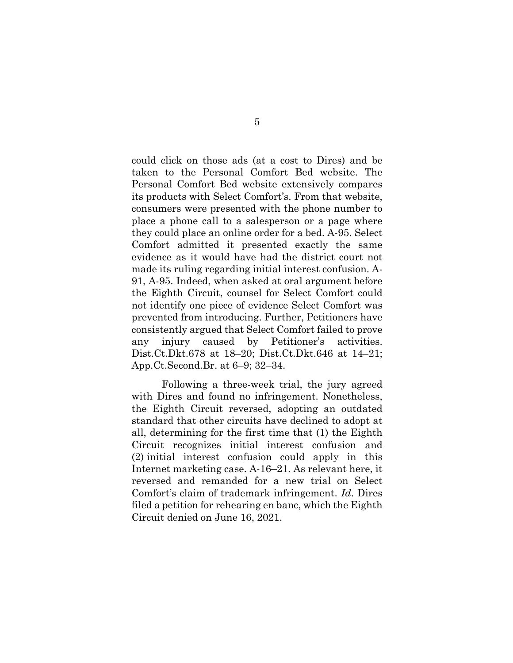could click on those ads (at a cost to Dires) and be taken to the Personal Comfort Bed website. The Personal Comfort Bed website extensively compares its products with Select Comfort's. From that website, consumers were presented with the phone number to place a phone call to a salesperson or a page where they could place an online order for a bed. A-95. Select Comfort admitted it presented exactly the same evidence as it would have had the district court not made its ruling regarding initial interest confusion. A-91, A-95. Indeed, when asked at oral argument before the Eighth Circuit, counsel for Select Comfort could not identify one piece of evidence Select Comfort was prevented from introducing. Further, Petitioners have consistently argued that Select Comfort failed to prove any injury caused by Petitioner's activities. Dist.Ct.Dkt.678 at 18–20; Dist.Ct.Dkt.646 at 14–21; App.Ct.Second.Br. at 6–9; 32–34.

Following a three-week trial, the jury agreed with Dires and found no infringement. Nonetheless, the Eighth Circuit reversed, adopting an outdated standard that other circuits have declined to adopt at all, determining for the first time that (1) the Eighth Circuit recognizes initial interest confusion and (2) initial interest confusion could apply in this Internet marketing case. A-16–21. As relevant here, it reversed and remanded for a new trial on Select Comfort's claim of trademark infringement. *Id*. Dires filed a petition for rehearing en banc, which the Eighth Circuit denied on June 16, 2021.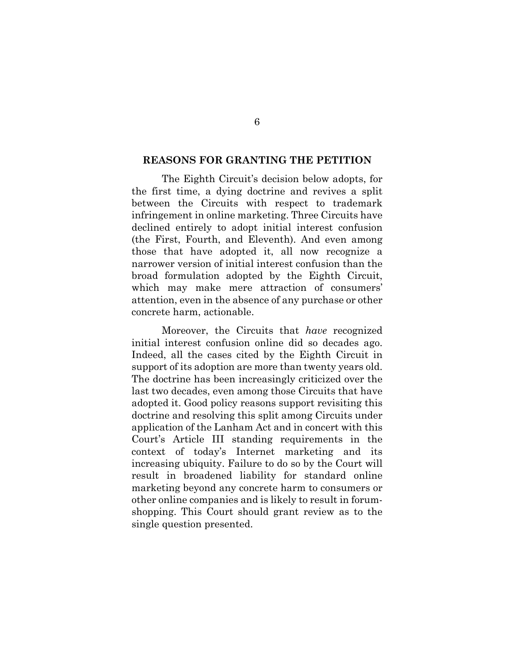#### **REASONS FOR GRANTING THE PETITION**

The Eighth Circuit's decision below adopts, for the first time, a dying doctrine and revives a split between the Circuits with respect to trademark infringement in online marketing. Three Circuits have declined entirely to adopt initial interest confusion (the First, Fourth, and Eleventh). And even among those that have adopted it, all now recognize a narrower version of initial interest confusion than the broad formulation adopted by the Eighth Circuit, which may make mere attraction of consumers' attention, even in the absence of any purchase or other concrete harm, actionable.

Moreover, the Circuits that *have* recognized initial interest confusion online did so decades ago. Indeed, all the cases cited by the Eighth Circuit in support of its adoption are more than twenty years old. The doctrine has been increasingly criticized over the last two decades, even among those Circuits that have adopted it. Good policy reasons support revisiting this doctrine and resolving this split among Circuits under application of the Lanham Act and in concert with this Court's Article III standing requirements in the context of today's Internet marketing and its increasing ubiquity. Failure to do so by the Court will result in broadened liability for standard online marketing beyond any concrete harm to consumers or other online companies and is likely to result in forumshopping. This Court should grant review as to the single question presented.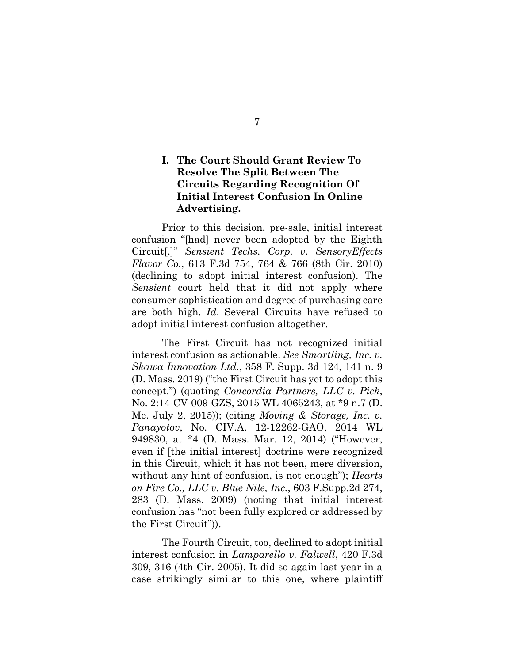# **I. The Court Should Grant Review To Resolve The Split Between The Circuits Regarding Recognition Of Initial Interest Confusion In Online Advertising.**

Prior to this decision, pre-sale, initial interest confusion "[had] never been adopted by the Eighth Circuit[.]" *Sensient Techs. Corp. v. SensoryEffects Flavor Co.*, 613 F.3d 754, 764 & 766 (8th Cir. 2010) (declining to adopt initial interest confusion). The *Sensient* court held that it did not apply where consumer sophistication and degree of purchasing care are both high. *Id*. Several Circuits have refused to adopt initial interest confusion altogether.

The First Circuit has not recognized initial interest confusion as actionable. *See Smartling, Inc. v. Skawa Innovation Ltd.*, 358 F. Supp. 3d 124, 141 n. 9 (D. Mass. 2019) ("the First Circuit has yet to adopt this concept.") (quoting *Concordia Partners, LLC v. Pick*, No. 2:14-CV-009-GZS, 2015 WL 4065243, at \*9 n.7 (D. Me. July 2, 2015)); (citing *Moving & Storage, Inc. v. Panayotov*, No. CIV.A. 12-12262-GAO, 2014 WL 949830, at \*4 (D. Mass. Mar. 12, 2014) ("However, even if [the initial interest] doctrine were recognized in this Circuit, which it has not been, mere diversion, without any hint of confusion, is not enough"); *Hearts on Fire Co., LLC v. Blue Nile, Inc.*, 603 F.Supp.2d 274, 283 (D. Mass. 2009) (noting that initial interest confusion has "not been fully explored or addressed by the First Circuit")).

The Fourth Circuit, too, declined to adopt initial interest confusion in *Lamparello v. Falwell*, 420 F.3d 309, 316 (4th Cir. 2005). It did so again last year in a case strikingly similar to this one, where plaintiff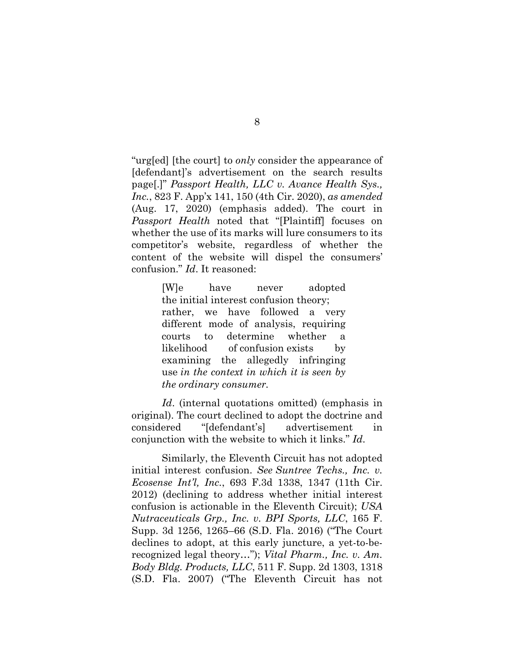"urg[ed] [the court] to *only* consider the appearance of [defendant]'s advertisement on the search results page[.]" *Passport Health, LLC v. Avance Health Sys., Inc.*, 823 F. App'x 141, 150 (4th Cir. 2020), *as amended* (Aug. 17, 2020) (emphasis added). The court in *Passport Health* noted that "[Plaintiff] focuses on whether the use of its marks will lure consumers to its competitor's website, regardless of whether the content of the website will dispel the consumers' confusion." *Id*. It reasoned:

> [W]e have never adopted the initial interest confusion theory; rather, we have followed a very different mode of analysis, requiring courts to determine whether a likelihood of confusion exists by examining the allegedly infringing use *in the context in which it is seen by the ordinary consumer.*

*Id*. (internal quotations omitted) (emphasis in original). The court declined to adopt the doctrine and considered "[defendant's] advertisement in conjunction with the website to which it links." *Id*.

Similarly, the Eleventh Circuit has not adopted initial interest confusion. *See Suntree Techs., Inc. v. Ecosense Int'l, Inc.*, 693 F.3d 1338, 1347 (11th Cir. 2012) (declining to address whether initial interest confusion is actionable in the Eleventh Circuit); *USA Nutraceuticals Grp., Inc. v. BPI Sports, LLC*, 165 F. Supp. 3d 1256, 1265–66 (S.D. Fla. 2016) ("The Court declines to adopt, at this early juncture, a yet-to-berecognized legal theory…"); *Vital Pharm., Inc. v. Am. Body Bldg. Products, LLC*, 511 F. Supp. 2d 1303, 1318 (S.D. Fla. 2007) ("The Eleventh Circuit has not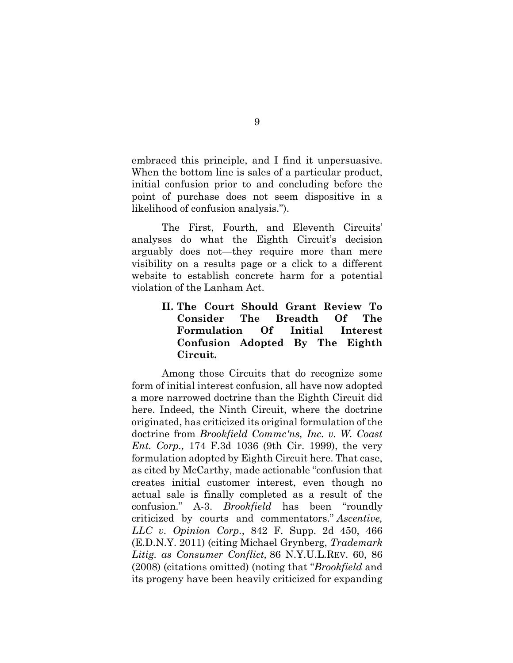embraced this principle, and I find it unpersuasive. When the bottom line is sales of a particular product, initial confusion prior to and concluding before the point of purchase does not seem dispositive in a likelihood of confusion analysis.").

The First, Fourth, and Eleventh Circuits' analyses do what the Eighth Circuit's decision arguably does not—they require more than mere visibility on a results page or a click to a different website to establish concrete harm for a potential violation of the Lanham Act.

# **II. The Court Should Grant Review To Consider The Breadth Of The Formulation Of Initial Interest Confusion Adopted By The Eighth Circuit.**

Among those Circuits that do recognize some form of initial interest confusion, all have now adopted a more narrowed doctrine than the Eighth Circuit did here. Indeed, the Ninth Circuit, where the doctrine originated, has criticized its original formulation of the doctrine from *Brookfield Commc'ns, Inc. v. W. Coast Ent. Corp.,* 174 F.3d 1036 (9th Cir. 1999), the very formulation adopted by Eighth Circuit here. That case, as cited by McCarthy, made actionable "confusion that creates initial customer interest, even though no actual sale is finally completed as a result of the confusion." A-3. *Brookfield* has been "roundly criticized by courts and commentators." *Ascentive, LLC v. Opinion Corp.*, 842 F. Supp. 2d 450, 466 (E.D.N.Y. 2011) (citing Michael Grynberg, *Trademark Litig. as Consumer Conflict,* 86 N.Y.U.L.REV. 60, 86 (2008) (citations omitted) (noting that "*Brookfield* and its progeny have been heavily criticized for expanding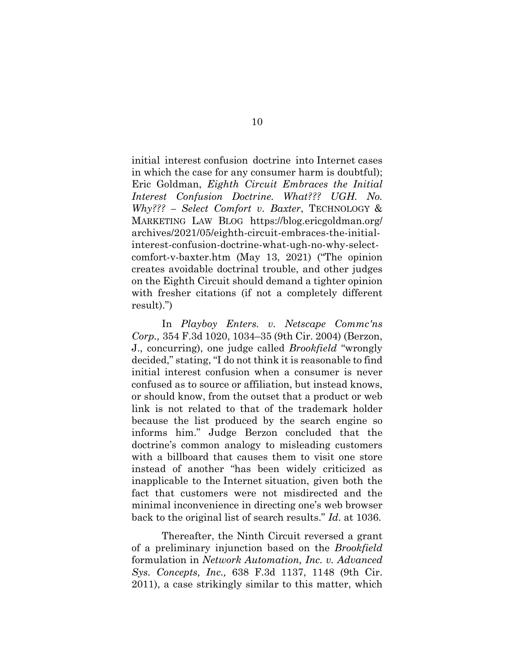initial interest confusion doctrine into Internet cases in which the case for any consumer harm is doubtful); Eric Goldman, *Eighth Circuit Embraces the Initial Interest Confusion Doctrine. What??? UGH. No. Why??? – Select Comfort v. Baxter*, TECHNOLOGY & MARKETING LAW BLOG https://blog.ericgoldman.org/ archives/2021/05/eighth-circuit-embraces-the-initialinterest-confusion-doctrine-what-ugh-no-why-selectcomfort-v-baxter.htm (May 13, 2021) ("The opinion creates avoidable doctrinal trouble, and other judges on the Eighth Circuit should demand a tighter opinion with fresher citations (if not a completely different result).")

In *Playboy Enters. v. Netscape Commc'ns Corp.,* 354 F.3d 1020, 1034–35 (9th Cir. 2004) (Berzon, J., concurring), one judge called *Brookfield* "wrongly decided," stating, "I do not think it is reasonable to find initial interest confusion when a consumer is never confused as to source or affiliation, but instead knows, or should know, from the outset that a product or web link is not related to that of the trademark holder because the list produced by the search engine so informs him." Judge Berzon concluded that the doctrine's common analogy to misleading customers with a billboard that causes them to visit one store instead of another "has been widely criticized as inapplicable to the Internet situation, given both the fact that customers were not misdirected and the minimal inconvenience in directing one's web browser back to the original list of search results." *Id*. at 1036.

Thereafter, the Ninth Circuit reversed a grant of a preliminary injunction based on the *Brookfield* formulation in *Network Automation, Inc. v. Advanced Sys. Concepts, Inc.,* 638 F.3d 1137, 1148 (9th Cir. 2011), a case strikingly similar to this matter, which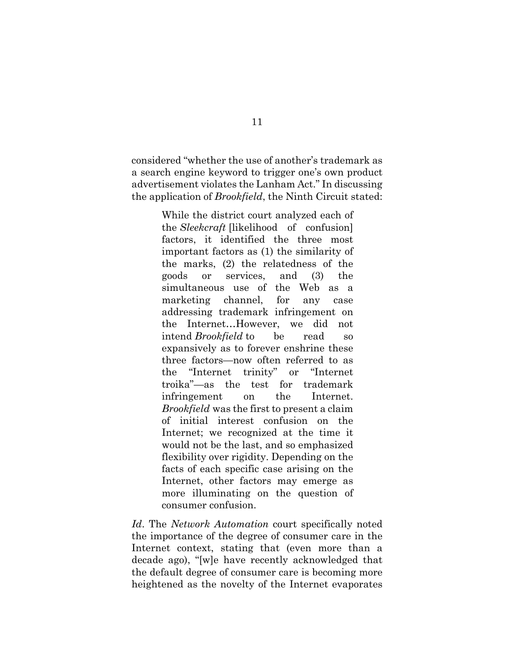considered "whether the use of another's trademark as a search engine keyword to trigger one's own product advertisement violates the Lanham Act." In discussing the application of *Brookfield*, the Ninth Circuit stated:

> While the district court analyzed each of the *Sleekcraft* [likelihood of confusion] factors, it identified the three most important factors as (1) the similarity of the marks, (2) the relatedness of the goods or services, and (3) the simultaneous use of the Web as a marketing channel, for any case addressing trademark infringement on the Internet…However, we did not intend *Brookfield* to be read so expansively as to forever enshrine these three factors—now often referred to as the "Internet trinity" or "Internet troika"—as the test for trademark infringement on the Internet. *Brookfield* was the first to present a claim of initial interest confusion on the Internet; we recognized at the time it would not be the last, and so emphasized flexibility over rigidity. Depending on the facts of each specific case arising on the Internet, other factors may emerge as more illuminating on the question of consumer confusion.

*Id*. The *Network Automation* court specifically noted the importance of the degree of consumer care in the Internet context, stating that (even more than a decade ago), "[w]e have recently acknowledged that the default degree of consumer care is becoming more heightened as the novelty of the Internet evaporates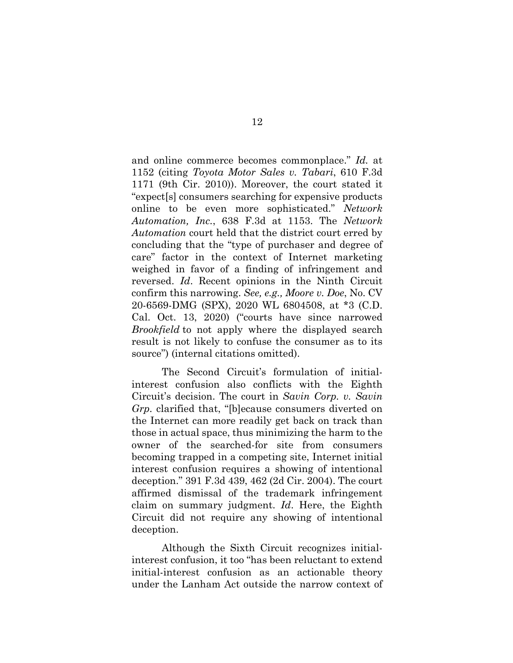and online commerce becomes commonplace." *Id.* at 1152 (citing *Toyota Motor Sales v. Tabari*, 610 F.3d 1171 (9th Cir. 2010)). Moreover, the court stated it "expect[s] consumers searching for expensive products online to be even more sophisticated." *Network Automation, Inc.*, 638 F.3d at 1153. The *Network Automation* court held that the district court erred by concluding that the "type of purchaser and degree of care" factor in the context of Internet marketing weighed in favor of a finding of infringement and reversed. *Id*. Recent opinions in the Ninth Circuit confirm this narrowing. *See, e.g., Moore v. Doe*, No. CV 20-6569-DMG (SPX), 2020 WL 6804508, at \*3 (C.D. Cal. Oct. 13, 2020) ("courts have since narrowed *Brookfield* to not apply where the displayed search result is not likely to confuse the consumer as to its source") (internal citations omitted).

The Second Circuit's formulation of initialinterest confusion also conflicts with the Eighth Circuit's decision. The court in *Savin Corp. v. Savin Grp.* clarified that, "[b]ecause consumers diverted on the Internet can more readily get back on track than those in actual space, thus minimizing the harm to the owner of the searched-for site from consumers becoming trapped in a competing site, Internet initial interest confusion requires a showing of intentional deception." 391 F.3d 439, 462 (2d Cir. 2004). The court affirmed dismissal of the trademark infringement claim on summary judgment. *Id*. Here, the Eighth Circuit did not require any showing of intentional deception.

Although the Sixth Circuit recognizes initialinterest confusion, it too "has been reluctant to extend initial-interest confusion as an actionable theory under the Lanham Act outside the narrow context of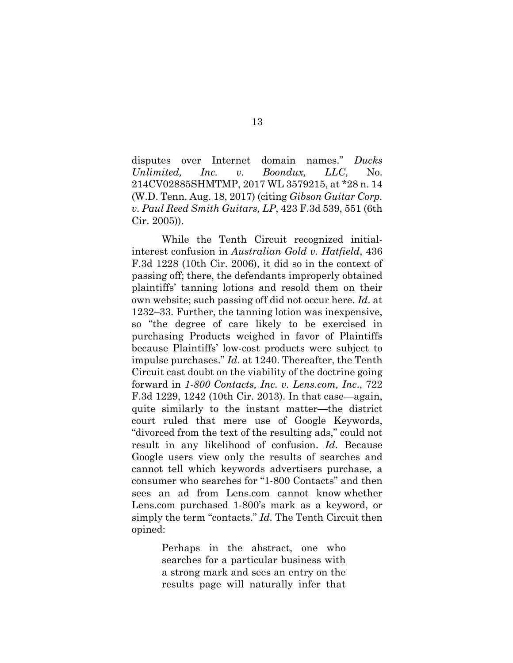disputes over Internet domain names." *Ducks Unlimited, Inc. v. Boondux, LLC*, No. 214CV02885SHMTMP, 2017 WL 3579215, at \*28 n. 14 (W.D. Tenn. Aug. 18, 2017) (citing *Gibson Guitar Corp. v. Paul Reed Smith Guitars, LP*, 423 F.3d 539, 551 (6th Cir. 2005)).

While the Tenth Circuit recognized initialinterest confusion in *Australian Gold v. Hatfield*, 436 F.3d 1228 (10th Cir. 2006), it did so in the context of passing off; there, the defendants improperly obtained plaintiffs' tanning lotions and resold them on their own website; such passing off did not occur here. *Id*. at 1232–33. Further, the tanning lotion was inexpensive, so "the degree of care likely to be exercised in purchasing Products weighed in favor of Plaintiffs because Plaintiffs' low-cost products were subject to impulse purchases." *Id*. at 1240. Thereafter, the Tenth Circuit cast doubt on the viability of the doctrine going forward in *1-800 Contacts, Inc. v. Lens.com, Inc*., 722 F.3d 1229, 1242 (10th Cir. 2013). In that case—again, quite similarly to the instant matter—the district court ruled that mere use of Google Keywords, "divorced from the text of the resulting ads," could not result in any likelihood of confusion. *Id*. Because Google users view only the results of searches and cannot tell which keywords advertisers purchase, a consumer who searches for "1-800 Contacts" and then sees an ad from Lens.com cannot know whether Lens.com purchased 1-800's mark as a keyword, or simply the term "contacts." *Id.* The Tenth Circuit then opined:

> Perhaps in the abstract, one who searches for a particular business with a strong mark and sees an entry on the results page will naturally infer that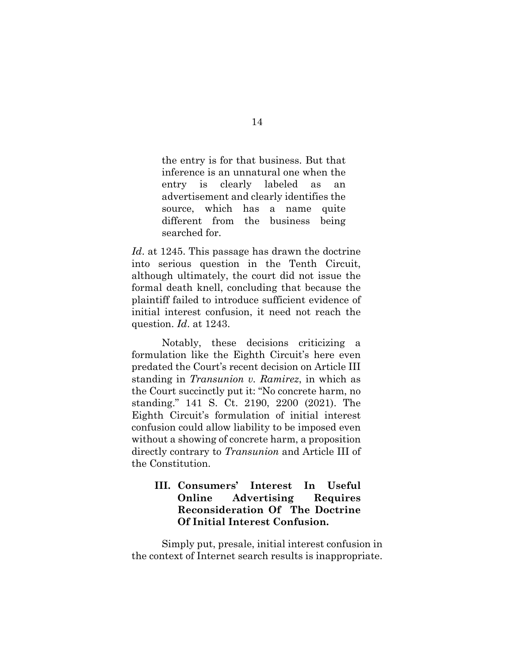the entry is for that business. But that inference is an unnatural one when the entry is clearly labeled as an advertisement and clearly identifies the source, which has a name quite different from the business being searched for.

*Id*. at 1245. This passage has drawn the doctrine into serious question in the Tenth Circuit, although ultimately, the court did not issue the formal death knell, concluding that because the plaintiff failed to introduce sufficient evidence of initial interest confusion, it need not reach the question. *Id*. at 1243.

Notably, these decisions criticizing a formulation like the Eighth Circuit's here even predated the Court's recent decision on Article III standing in *Transunion v. Ramirez*, in which as the Court succinctly put it: "No concrete harm, no standing." 141 S. Ct. 2190, 2200 (2021). The Eighth Circuit's formulation of initial interest confusion could allow liability to be imposed even without a showing of concrete harm, a proposition directly contrary to *Transunion* and Article III of the Constitution.

## **III. Consumers' Interest In Useful Online Advertising Requires Reconsideration Of The Doctrine Of Initial Interest Confusion.**

Simply put, presale, initial interest confusion in the context of Internet search results is inappropriate.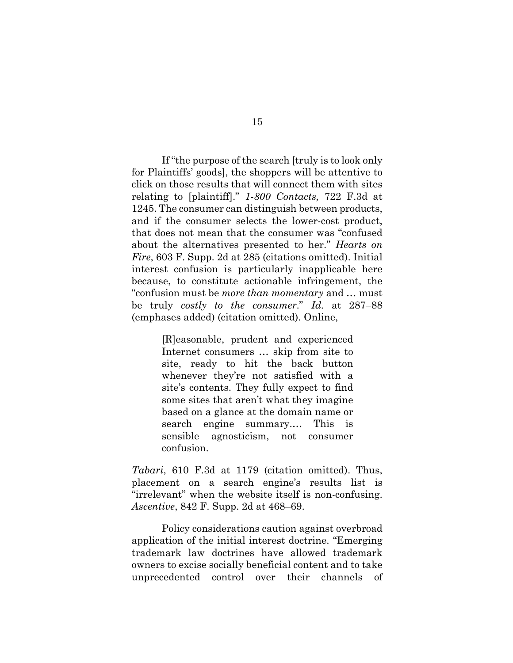If "the purpose of the search [truly is to look only for Plaintiffs' goods], the shoppers will be attentive to click on those results that will connect them with sites relating to [plaintiff]." *1-800 Contacts,* 722 F.3d at 1245. The consumer can distinguish between products, and if the consumer selects the lower-cost product, that does not mean that the consumer was "confused about the alternatives presented to her." *Hearts on Fire*, 603 F. Supp. 2d at 285 (citations omitted). Initial interest confusion is particularly inapplicable here because, to constitute actionable infringement, the "confusion must be *more than momentary* and … must be truly *costly to the consumer*." *Id.* at 287–88 (emphases added) (citation omitted). Online,

> [R]easonable, prudent and experienced Internet consumers … skip from site to site, ready to hit the back button whenever they're not satisfied with a site's contents. They fully expect to find some sites that aren't what they imagine based on a glance at the domain name or search engine summary.… This is sensible agnosticism, not consumer confusion.

*Tabari*, 610 F.3d at 1179 (citation omitted). Thus, placement on a search engine's results list is "irrelevant" when the website itself is non-confusing. *Ascentive*, 842 F. Supp. 2d at 468–69.

Policy considerations caution against overbroad application of the initial interest doctrine. "Emerging trademark law doctrines have allowed trademark owners to excise socially beneficial content and to take unprecedented control over their channels of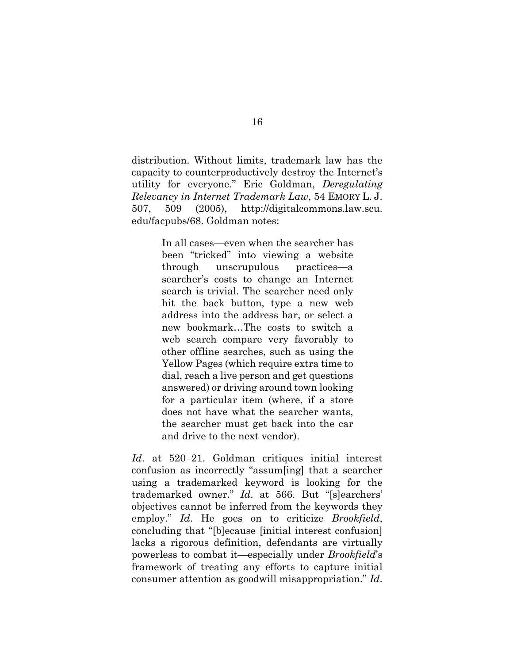distribution. Without limits, trademark law has the capacity to counterproductively destroy the Internet's utility for everyone." Eric Goldman, *Deregulating Relevancy in Internet Trademark Law*, 54 EMORY L. J. 507, 509 (2005), http://digitalcommons.law.scu. edu/facpubs/68. Goldman notes:

> In all cases—even when the searcher has been "tricked" into viewing a website through unscrupulous practices—a searcher's costs to change an Internet search is trivial. The searcher need only hit the back button, type a new web address into the address bar, or select a new bookmark…The costs to switch a web search compare very favorably to other offline searches, such as using the Yellow Pages (which require extra time to dial, reach a live person and get questions answered) or driving around town looking for a particular item (where, if a store does not have what the searcher wants, the searcher must get back into the car and drive to the next vendor).

*Id*. at 520–21. Goldman critiques initial interest confusion as incorrectly "assum[ing] that a searcher using a trademarked keyword is looking for the trademarked owner." *Id*. at 566. But "[s]earchers' objectives cannot be inferred from the keywords they employ." *Id*. He goes on to criticize *Brookfield*, concluding that "[b]ecause [initial interest confusion] lacks a rigorous definition, defendants are virtually powerless to combat it—especially under *Brookfield*'s framework of treating any efforts to capture initial consumer attention as goodwill misappropriation." *Id*.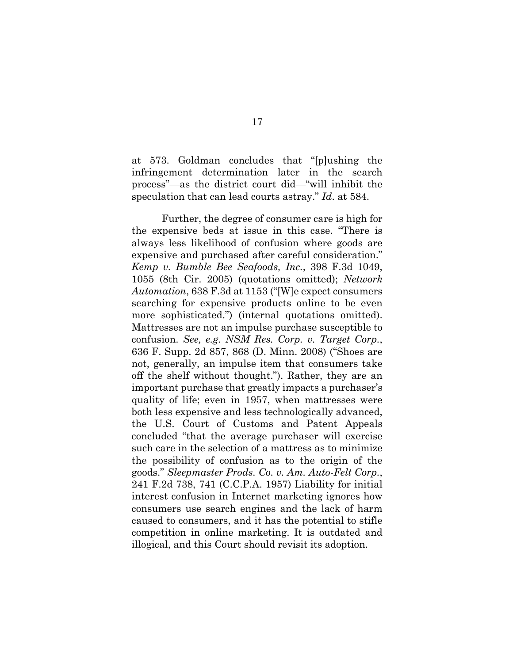at 573. Goldman concludes that "[p]ushing the infringement determination later in the search process"—as the district court did—"will inhibit the speculation that can lead courts astray." *Id*. at 584.

Further, the degree of consumer care is high for the expensive beds at issue in this case. "There is always less likelihood of confusion where goods are expensive and purchased after careful consideration." *Kemp v. Bumble Bee Seafoods, Inc.*, 398 F.3d 1049, 1055 (8th Cir. 2005) (quotations omitted); *Network Automation*, 638 F.3d at 1153 ("[W]e expect consumers searching for expensive products online to be even more sophisticated.") (internal quotations omitted). Mattresses are not an impulse purchase susceptible to confusion. *See, e.g. NSM Res. Corp. v. Target Corp.*, 636 F. Supp. 2d 857, 868 (D. Minn. 2008) ("Shoes are not, generally, an impulse item that consumers take off the shelf without thought."). Rather, they are an important purchase that greatly impacts a purchaser's quality of life; even in 1957, when mattresses were both less expensive and less technologically advanced, the U.S. Court of Customs and Patent Appeals concluded "that the average purchaser will exercise such care in the selection of a mattress as to minimize the possibility of confusion as to the origin of the goods." *Sleepmaster Prods. Co. v. Am. Auto-Felt Corp.*, 241 F.2d 738, 741 (C.C.P.A. 1957) Liability for initial interest confusion in Internet marketing ignores how consumers use search engines and the lack of harm caused to consumers, and it has the potential to stifle competition in online marketing. It is outdated and illogical, and this Court should revisit its adoption.